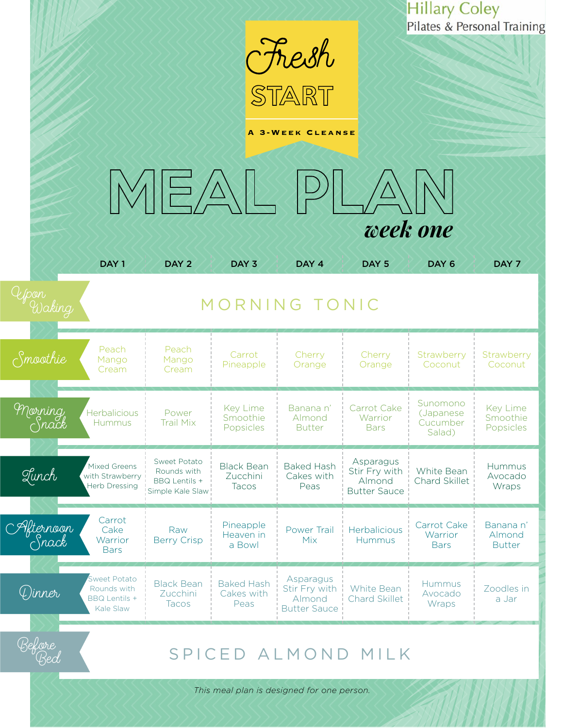|                    |                                                                         |                                                                         |                                         |                                                             |                                                             | <b>Hillary Coley</b><br>Pilates & Personal Training |                                      |  |
|--------------------|-------------------------------------------------------------------------|-------------------------------------------------------------------------|-----------------------------------------|-------------------------------------------------------------|-------------------------------------------------------------|-----------------------------------------------------|--------------------------------------|--|
|                    |                                                                         |                                                                         |                                         | <b>Fresh</b>                                                |                                                             |                                                     |                                      |  |
|                    |                                                                         |                                                                         |                                         | <b>A 3-WEEK CLEANSE</b>                                     |                                                             |                                                     |                                      |  |
|                    |                                                                         |                                                                         |                                         |                                                             |                                                             |                                                     |                                      |  |
|                    |                                                                         | $ \Xi/\Delta $                                                          |                                         |                                                             |                                                             |                                                     |                                      |  |
|                    |                                                                         |                                                                         |                                         |                                                             |                                                             |                                                     |                                      |  |
|                    |                                                                         |                                                                         |                                         |                                                             | week one                                                    |                                                     |                                      |  |
|                    | DAY <sub>1</sub>                                                        | DAY <sub>2</sub>                                                        | DAY <sub>3</sub>                        | DAY 4                                                       | DAY <sub>5</sub>                                            | DAY <sub>6</sub>                                    | DAY 7                                |  |
| Upon               | MORNING TONIC                                                           |                                                                         |                                         |                                                             |                                                             |                                                     |                                      |  |
| $\zeta$ moothie    | Peach<br>Mango<br>Cream                                                 | Peach<br>Mango<br>Cream                                                 | Carrot<br>Pineapple                     | Cherry<br>Orange                                            | Cherry<br>Orange                                            | Strawberry<br>Coconut                               | Strawberry<br>Coconut                |  |
| Morning<br>Snack   | Herbalicious<br><b>Hummus</b>                                           | Power<br><b>Trail Mix</b>                                               | Key Lime<br>Smoothie<br>Popsicles       | Banana n'<br>Almond<br><b>Butter</b>                        | Carrot Cake<br>Warrior<br><b>Bars</b>                       | Sunomono<br>(Japanese<br>Cucumber<br>Salad)         | Key Lime<br>Smoothie<br>Popsicles    |  |
| Lunch              | Mixed Greens<br>with Strawberry<br><b>Herb Dressing</b>                 | Sweet Potato<br>Rounds with<br><b>BBQ Lentils +</b><br>Simple Kale Slaw | <b>Black Bean</b><br>Zucchini<br>Tacos  | <b>Baked Hash</b><br>Cakes with<br>Peas                     | Asparagus<br>Stir Fry with<br>Almond<br><b>Butter Sauce</b> | White Bean<br>Chard Skillet                         | Hummus<br>Avocado<br>Wraps           |  |
| Afternoon<br>Snack | Carrot<br>Cake<br>Warrior<br><b>Bars</b>                                | Raw<br><b>Berry Crisp</b>                                               | Pineapple<br>Heaven in<br>a Bowl        | Power Trail<br>Mix                                          | Herbalicious<br><b>Hummus</b>                               | Carrot Cake<br>Warrior<br><b>Bars</b>               | Banana n'<br>Almond<br><b>Butter</b> |  |
| (L)inner           | <b>Sweet Potato</b><br>Rounds with<br><b>BBQ Lentils +</b><br>Kale Slaw | <b>Black Bean</b><br>Zucchini<br>Tacos                                  | <b>Baked Hash</b><br>Cakes with<br>Peas | Asparagus<br>Stir Fry with<br>Almond<br><b>Butter Sauce</b> | White Bean<br><b>Chard Skillet</b>                          | <b>Hummus</b><br>Avocado<br>Wraps                   | Zoodles in<br>a Jar                  |  |
| Before<br>Bed      | SPICED ALMOND MILK                                                      |                                                                         |                                         |                                                             |                                                             |                                                     |                                      |  |

*This meal plan is designed for one person.*